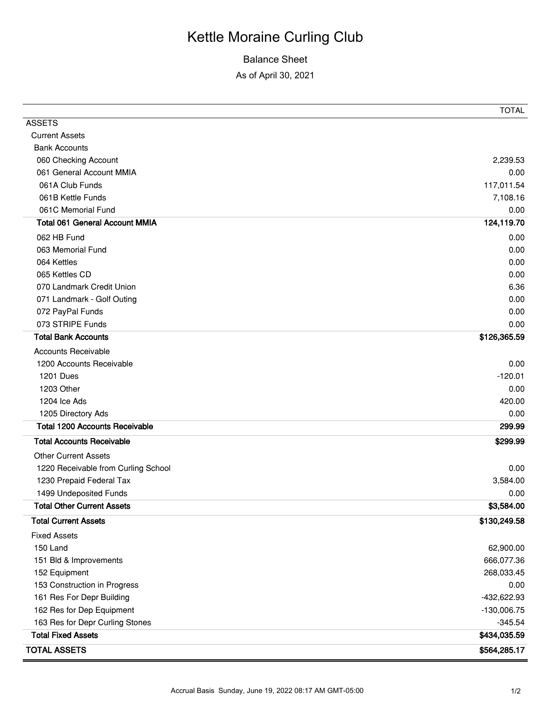## Kettle Moraine Curling Club

## Balance Sheet

As of April 30, 2021

|                                       | <b>TOTAL</b>  |
|---------------------------------------|---------------|
| <b>ASSETS</b>                         |               |
| <b>Current Assets</b>                 |               |
| <b>Bank Accounts</b>                  |               |
| 060 Checking Account                  | 2,239.53      |
| 061 General Account MMIA              | 0.00          |
| 061A Club Funds                       | 117,011.54    |
| 061B Kettle Funds                     | 7,108.16      |
| 061C Memorial Fund                    | 0.00          |
| <b>Total 061 General Account MMIA</b> | 124,119.70    |
| 062 HB Fund                           | 0.00          |
| 063 Memorial Fund                     | 0.00          |
| 064 Kettles                           | 0.00          |
| 065 Kettles CD                        | 0.00          |
| 070 Landmark Credit Union             | 6.36          |
| 071 Landmark - Golf Outing            | 0.00          |
| 072 PayPal Funds                      | 0.00          |
| 073 STRIPE Funds                      | 0.00          |
| <b>Total Bank Accounts</b>            | \$126,365.59  |
| <b>Accounts Receivable</b>            |               |
| 1200 Accounts Receivable              | 0.00          |
| <b>1201 Dues</b>                      | $-120.01$     |
| 1203 Other                            | 0.00          |
| 1204 Ice Ads                          | 420.00        |
| 1205 Directory Ads                    | 0.00          |
| <b>Total 1200 Accounts Receivable</b> | 299.99        |
| <b>Total Accounts Receivable</b>      | \$299.99      |
| <b>Other Current Assets</b>           |               |
| 1220 Receivable from Curling School   | 0.00          |
| 1230 Prepaid Federal Tax              | 3,584.00      |
| 1499 Undeposited Funds                | 0.00          |
| <b>Total Other Current Assets</b>     | \$3,584.00    |
| <b>Total Current Assets</b>           | \$130,249.58  |
| <b>Fixed Assets</b>                   |               |
| 150 Land                              | 62,900.00     |
| 151 Bld & Improvements                | 666,077.36    |
| 152 Equipment                         | 268,033.45    |
| 153 Construction in Progress          | 0.00          |
| 161 Res For Depr Building             | -432,622.93   |
| 162 Res for Dep Equipment             | $-130,006.75$ |
| 163 Res for Depr Curling Stones       | $-345.54$     |
| <b>Total Fixed Assets</b>             | \$434,035.59  |
| <b>TOTAL ASSETS</b>                   | \$564,285.17  |